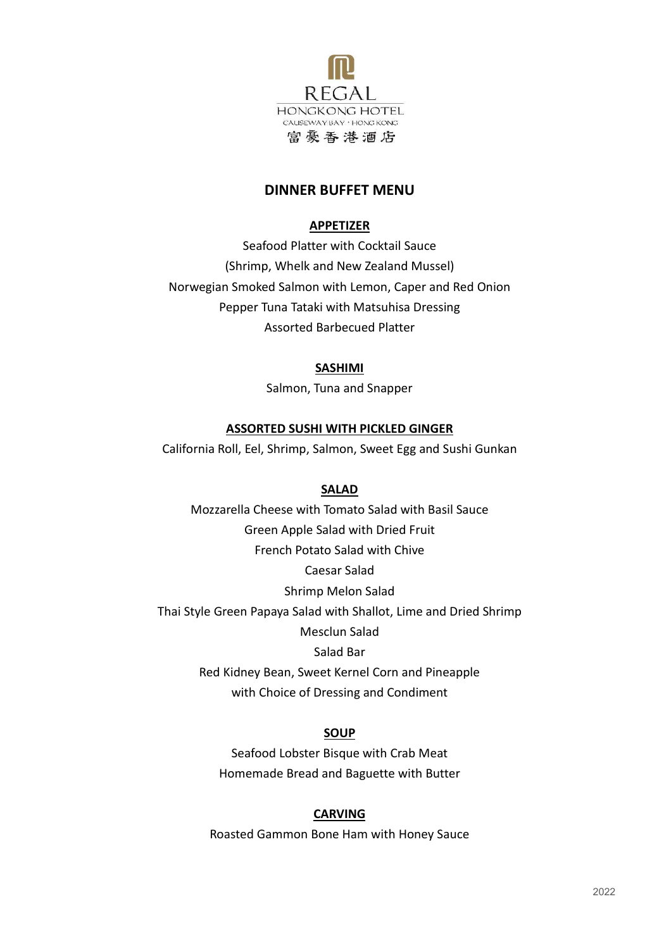

# **DINNER BUFFET MENU**

# **APPETIZER**

Seafood Platter with Cocktail Sauce (Shrimp, Whelk and New Zealand Mussel) Norwegian Smoked Salmon with Lemon, Caper and Red Onion Pepper Tuna Tataki with Matsuhisa Dressing Assorted Barbecued Platter

## **SASHIMI**

Salmon, Tuna and Snapper

## **ASSORTED SUSHI WITH PICKLED GINGER**

California Roll, Eel, Shrimp, Salmon, Sweet Egg and Sushi Gunkan

### **SALAD**

Mozzarella Cheese with Tomato Salad with Basil Sauce Green Apple Salad with Dried Fruit French Potato Salad with Chive Caesar Salad Shrimp Melon Salad Thai Style Green Papaya Salad with Shallot, Lime and Dried Shrimp Mesclun Salad Salad Bar Red Kidney Bean, Sweet Kernel Corn and Pineapple with Choice of Dressing and Condiment

#### **SOUP**

Seafood Lobster Bisque with Crab Meat Homemade Bread and Baguette with Butter

## **CARVING**

Roasted Gammon Bone Ham with Honey Sauce